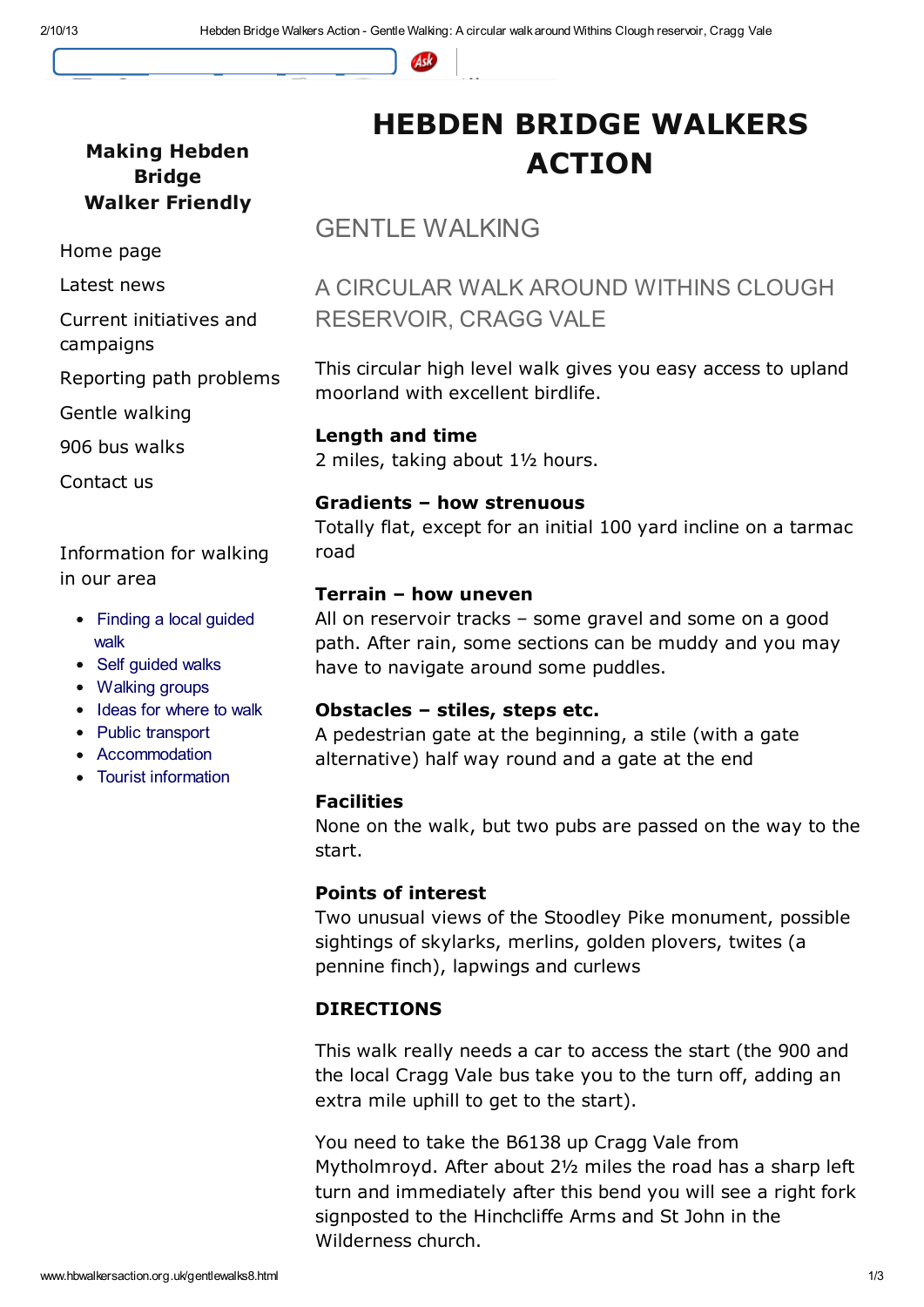

### Making Hebden Bridge Walker Friendly

Home page

Latest news

Current initiatives and campaigns

Reporting path problems

Gentle walking

906 bus walks

Contact us

Information for walking in our area

- Finding a local quided walk
- Self quided walks
- Walking groups
- Ideas for where to walk
- Public transport
- Accommodation
- Tourist information

# HEBDEN BRIDGE WALKERS ACTION

### GENTLE WALKING

## A CIRCULAR WALK AROUND WITHINS CLOUGH RESERVOIR, CRAGG VALE

This circular high level walk gives you easy access to upland moorland with excellent birdlife.

#### Length and time

2 miles, taking about 1½ hours.

#### Gradients – how strenuous

Totally flat, except for an initial 100 yard incline on a tarmac road

#### Terrain – how uneven

All on reservoir tracks – some gravel and some on a good path. After rain, some sections can be muddy and you may have to navigate around some puddles.

#### Obstacles – stiles, steps etc.

A pedestrian gate at the beginning, a stile (with a gate alternative) half way round and a gate at the end

#### Facilities

None on the walk, but two pubs are passed on the way to the start.

#### Points of interest

Two unusual views of the Stoodley Pike monument, possible sightings of skylarks, merlins, golden plovers, twites (a pennine finch), lapwings and curlews

#### DIRECTIONS

This walk really needs a car to access the start (the 900 and the local Cragg Vale bus take you to the turn off, adding an extra mile uphill to get to the start).

You need to take the B6138 up Cragg Vale from Mytholmroyd. After about 2½ miles the road has a sharp left turn and immediately after this bend you will see a right fork signposted to the Hinchcliffe Arms and St John in the Wilderness church.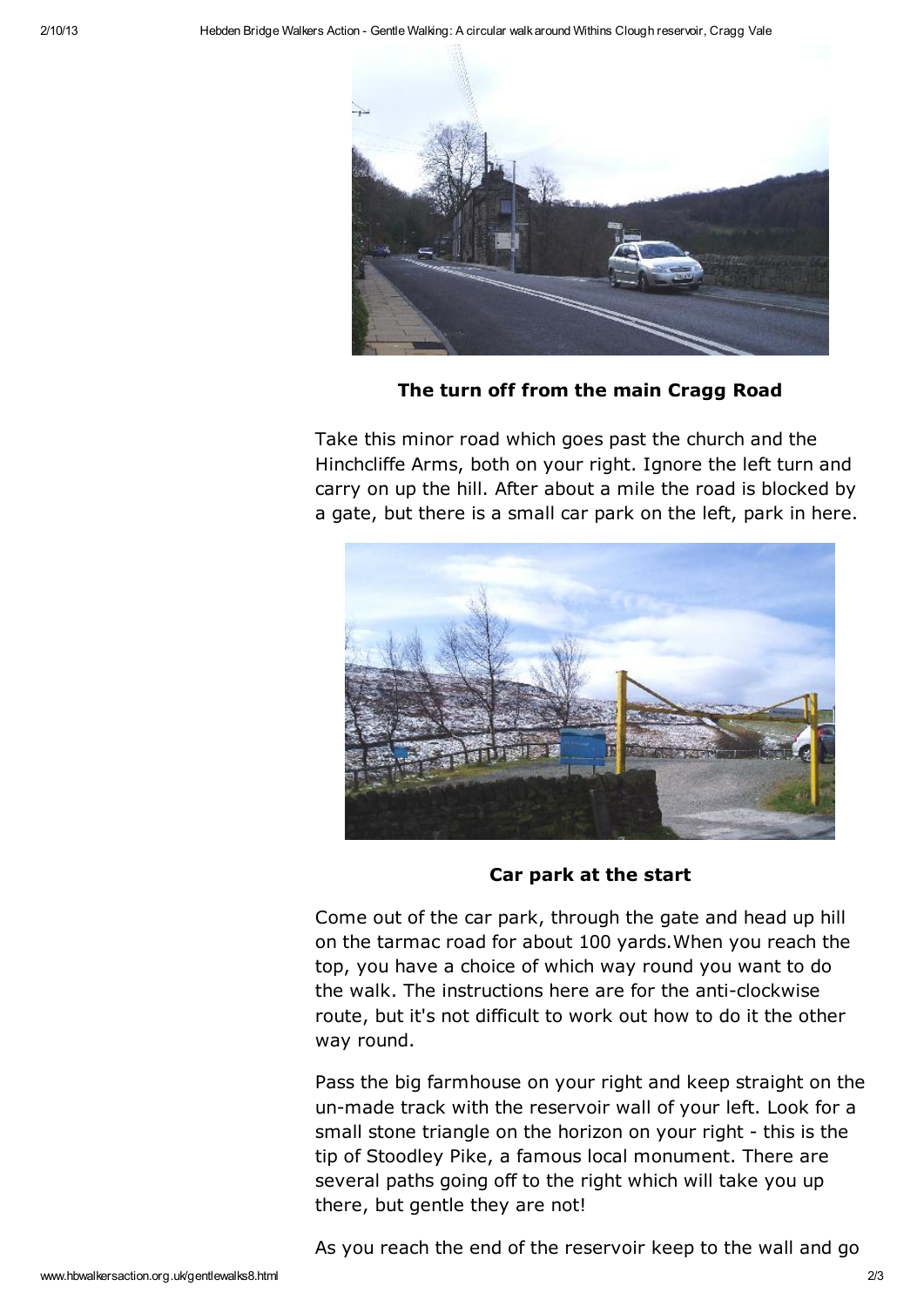

The turn off from the main Cragg Road

Take this minor road which goes past the church and the Hinchcliffe Arms, both on your right. Ignore the left turn and carry on up the hill. After about a mile the road is blocked by a gate, but there is a small car park on the left, park in here.



Car park at the start

Come out of the car park, through the gate and head up hill on the tarmac road for about 100 yards.When you reach the top, you have a choice of which way round you want to do the walk. The instructions here are for the anti-clockwise route, but it's not difficult to work out how to do it the other way round.

Pass the big farmhouse on your right and keep straight on the un-made track with the reservoir wall of your left. Look for a small stone triangle on the horizon on your right - this is the tip of Stoodley Pike, a famous local monument. There are several paths going off to the right which will take you up there, but gentle they are not!

As you reach the end of the reservoir keep to the wall and go